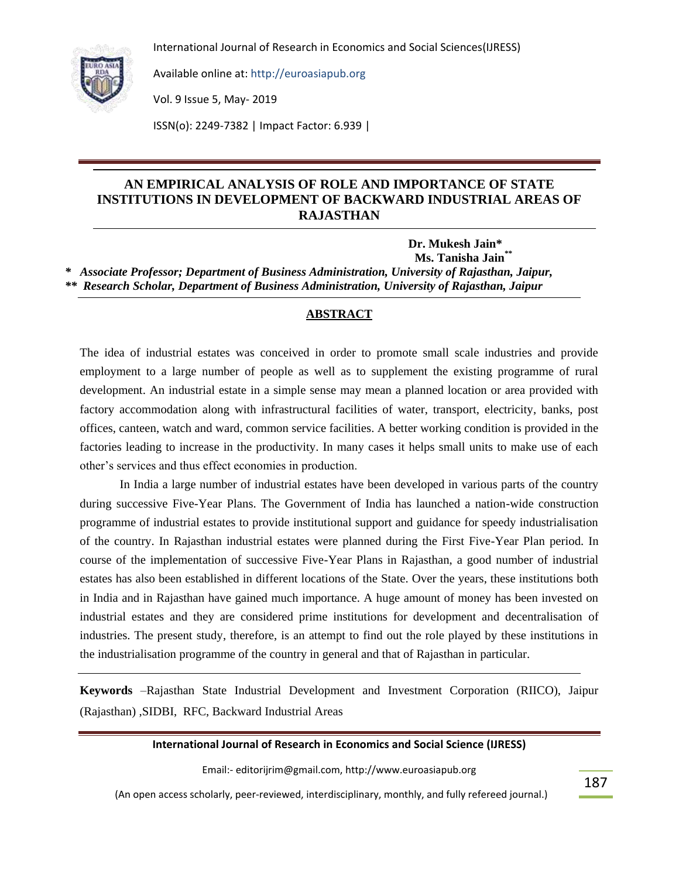

Available online at: http://euroasiapub.org

Vol. 9 Issue 5, May- 2019

ISSN(o): 2249-7382 | Impact Factor: 6.939 |

## **AN EMPIRICAL ANALYSIS OF ROLE AND IMPORTANCE OF STATE INSTITUTIONS IN DEVELOPMENT OF BACKWARD INDUSTRIAL AREAS OF RAJASTHAN**

 **Dr. Mukesh Jain\* Ms. Tanisha Jain\*\*** *\* Associate Professor; Department of Business Administration, University of Rajasthan, Jaipur, \*\* Research Scholar, Department of Business Administration, University of Rajasthan, Jaipur*

#### **ABSTRACT**

The idea of industrial estates was conceived in order to promote small scale industries and provide employment to a large number of people as well as to supplement the existing programme of rural development. An industrial estate in a simple sense may mean a planned location or area provided with factory accommodation along with infrastructural facilities of water, transport, electricity, banks, post offices, canteen, watch and ward, common service facilities. A better working condition is provided in the factories leading to increase in the productivity. In many cases it helps small units to make use of each other"s services and thus effect economies in production.

In India a large number of industrial estates have been developed in various parts of the country during successive Five-Year Plans. The Government of India has launched a nation-wide construction programme of industrial estates to provide institutional support and guidance for speedy industrialisation of the country. In Rajasthan industrial estates were planned during the First Five-Year Plan period. In course of the implementation of successive Five-Year Plans in Rajasthan, a good number of industrial estates has also been established in different locations of the State. Over the years, these institutions both in India and in Rajasthan have gained much importance. A huge amount of money has been invested on industrial estates and they are considered prime institutions for development and decentralisation of industries. The present study, therefore, is an attempt to find out the role played by these institutions in the industrialisation programme of the country in general and that of Rajasthan in particular.

**Keywords** –Rajasthan State Industrial Development and Investment Corporation (RIICO), Jaipur (Rajasthan) ,SIDBI, RFC, Backward Industrial Areas

#### **International Journal of Research in Economics and Social Science (IJRESS)**

Email:- editorijrim@gmail.com, http://www.euroasiapub.org

(An open access scholarly, peer-reviewed, interdisciplinary, monthly, and fully refereed journal.)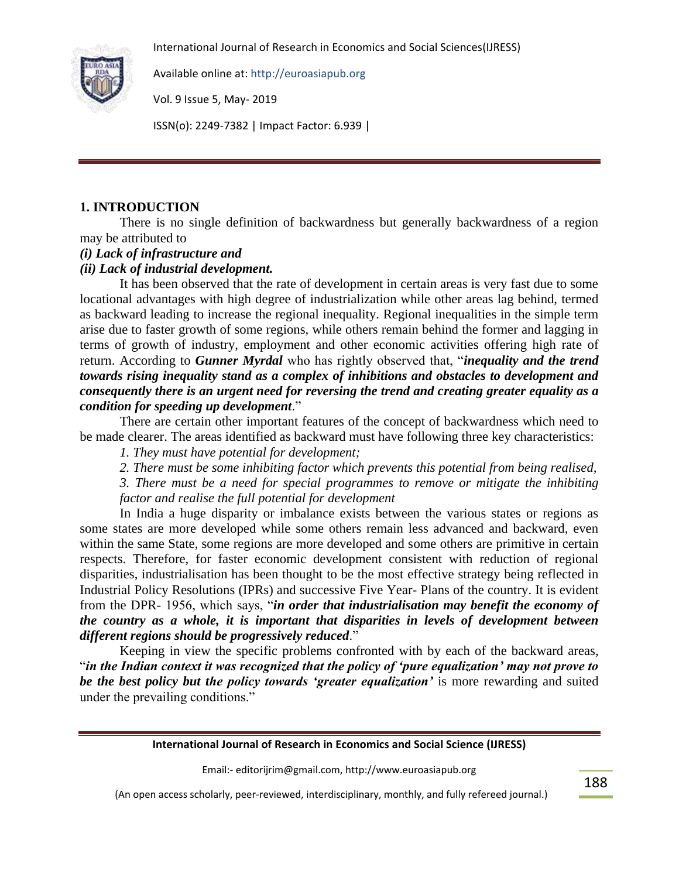

Available online at: http://euroasiapub.org

Vol. 9 Issue 5, May- 2019

ISSN(o): 2249-7382 | Impact Factor: 6.939 |

## **1. INTRODUCTION**

There is no single definition of backwardness but generally backwardness of a region may be attributed to

## *(i) Lack of infrastructure and*

## *(ii) Lack of industrial development.*

It has been observed that the rate of development in certain areas is very fast due to some locational advantages with high degree of industrialization while other areas lag behind, termed as backward leading to increase the regional inequality. Regional inequalities in the simple term arise due to faster growth of some regions, while others remain behind the former and lagging in terms of growth of industry, employment and other economic activities offering high rate of return. According to *Gunner Myrdal* who has rightly observed that, "*inequality and the trend towards rising inequality stand as a complex of inhibitions and obstacles to development and consequently there is an urgent need for reversing the trend and creating greater equality as a condition for speeding up development*."

There are certain other important features of the concept of backwardness which need to be made clearer. The areas identified as backward must have following three key characteristics:

*1. They must have potential for development;*

*2. There must be some inhibiting factor which prevents this potential from being realised,* 

*3. There must be a need for special programmes to remove or mitigate the inhibiting factor and realise the full potential for development*

In India a huge disparity or imbalance exists between the various states or regions as some states are more developed while some others remain less advanced and backward, even within the same State, some regions are more developed and some others are primitive in certain respects. Therefore, for faster economic development consistent with reduction of regional disparities, industrialisation has been thought to be the most effective strategy being reflected in Industrial Policy Resolutions (IPRs) and successive Five Year- Plans of the country. It is evident from the DPR- 1956, which says, "*in order that industrialisation may benefit the economy of the country as a whole, it is important that disparities in levels of development between different regions should be progressively reduced*."

Keeping in view the specific problems confronted with by each of the backward areas, "*in the Indian context it was recognized that the policy of 'pure equalization' may not prove to be the best policy but the policy towards 'greater equalization'* is more rewarding and suited under the prevailing conditions."

**International Journal of Research in Economics and Social Science (IJRESS)**

Email:- editorijrim@gmail.com, http://www.euroasiapub.org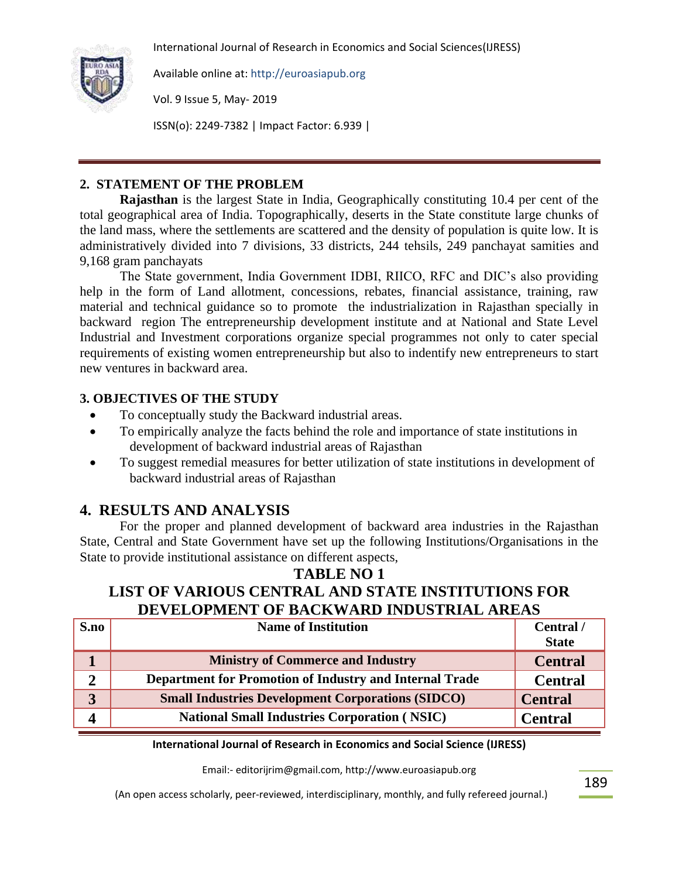

Available online at: http://euroasiapub.org

Vol. 9 Issue 5, May- 2019

ISSN(o): 2249-7382 | Impact Factor: 6.939 |

## **2. STATEMENT OF THE PROBLEM**

**Rajasthan** is the largest State in India, Geographically constituting 10.4 per cent of the total geographical area of India. Topographically, deserts in the State constitute large chunks of the land mass, where the settlements are scattered and the density of population is quite low. It is administratively divided into 7 divisions, 33 districts, 244 tehsils, 249 panchayat samities and 9,168 gram panchayats

The State government, India Government IDBI, RIICO, RFC and DIC"s also providing help in the form of Land allotment, concessions, rebates, financial assistance, training, raw material and technical guidance so to promote the industrialization in Rajasthan specially in backward region The entrepreneurship development institute and at National and State Level Industrial and Investment corporations organize special programmes not only to cater special requirements of existing women entrepreneurship but also to indentify new entrepreneurs to start new ventures in backward area.

## **3. OBJECTIVES OF THE STUDY**

- To conceptually study the Backward industrial areas.
- To empirically analyze the facts behind the role and importance of state institutions in development of backward industrial areas of Rajasthan
- To suggest remedial measures for better utilization of state institutions in development of backward industrial areas of Rajasthan

# **4. RESULTS AND ANALYSIS**

For the proper and planned development of backward area industries in the Rajasthan State, Central and State Government have set up the following Institutions/Organisations in the State to provide institutional assistance on different aspects,

# **TABLE NO 1 LIST OF VARIOUS CENTRAL AND STATE INSTITUTIONS FOR DEVELOPMENT OF BACKWARD INDUSTRIAL AREAS**

| S.no | <b>Name of Institution</b>                               | Central /<br><b>State</b> |
|------|----------------------------------------------------------|---------------------------|
|      | <b>Ministry of Commerce and Industry</b>                 | <b>Central</b>            |
| ∍    | Department for Promotion of Industry and Internal Trade  | <b>Central</b>            |
| 3    | <b>Small Industries Development Corporations (SIDCO)</b> | <b>Central</b>            |
|      | <b>National Small Industries Corporation (NSIC)</b>      | <b>Central</b>            |

### **International Journal of Research in Economics and Social Science (IJRESS)**

Email:- editorijrim@gmail.com, http://www.euroasiapub.org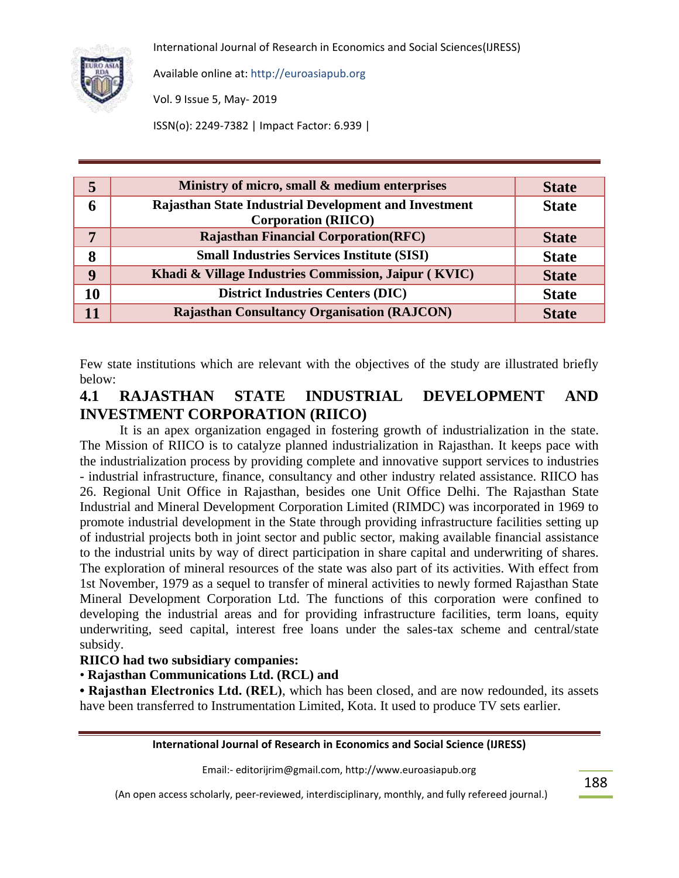

Available online at: http://euroasiapub.org

Vol. 9 Issue 5, May- 2019

ISSN(o): 2249-7382 | Impact Factor: 6.939 |

| 5  | Ministry of micro, small & medium enterprises                                       | <b>State</b> |
|----|-------------------------------------------------------------------------------------|--------------|
| O  | Rajasthan State Industrial Development and Investment<br><b>Corporation (RIICO)</b> | <b>State</b> |
| 7  | <b>Rajasthan Financial Corporation (RFC)</b>                                        | <b>State</b> |
| 8  | <b>Small Industries Services Institute (SISI)</b>                                   | <b>State</b> |
| 9  | Khadi & Village Industries Commission, Jaipur (KVIC)                                | <b>State</b> |
| 10 | <b>District Industries Centers (DIC)</b>                                            | <b>State</b> |
| 11 | <b>Rajasthan Consultancy Organisation (RAJCON)</b>                                  | <b>State</b> |

Few state institutions which are relevant with the objectives of the study are illustrated briefly below:

# **4.1 RAJASTHAN STATE INDUSTRIAL DEVELOPMENT AND INVESTMENT CORPORATION (RIICO)**

It is an apex organization engaged in fostering growth of industrialization in the state. The Mission of RIICO is to catalyze planned industrialization in Rajasthan. It keeps pace with the industrialization process by providing complete and innovative support services to industries - industrial infrastructure, finance, consultancy and other industry related assistance. RIICO has 26. Regional Unit Office in Rajasthan, besides one Unit Office Delhi. The Rajasthan State Industrial and Mineral Development Corporation Limited (RIMDC) was incorporated in 1969 to promote industrial development in the State through providing infrastructure facilities setting up of industrial projects both in joint sector and public sector, making available financial assistance to the industrial units by way of direct participation in share capital and underwriting of shares. The exploration of mineral resources of the state was also part of its activities. With effect from 1st November, 1979 as a sequel to transfer of mineral activities to newly formed Rajasthan State Mineral Development Corporation Ltd. The functions of this corporation were confined to developing the industrial areas and for providing infrastructure facilities, term loans, equity underwriting, seed capital, interest free loans under the sales-tax scheme and central/state subsidy.

## **RIICO had two subsidiary companies:**

## • **Rajasthan Communications Ltd. (RCL) and**

**• Rajasthan Electronics Ltd. (REL)**, which has been closed, and are now redounded, its assets have been transferred to Instrumentation Limited, Kota. It used to produce TV sets earlier.

#### **International Journal of Research in Economics and Social Science (IJRESS)**

Email:- editorijrim@gmail.com, http://www.euroasiapub.org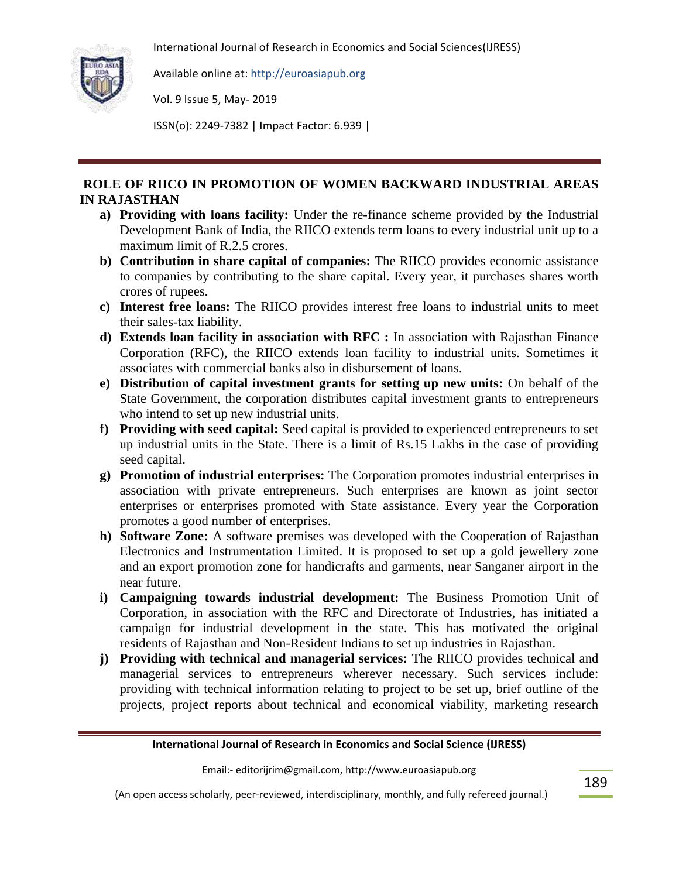

Available online at: http://euroasiapub.org

Vol. 9 Issue 5, May- 2019

ISSN(o): 2249-7382 | Impact Factor: 6.939 |

## **ROLE OF RIICO IN PROMOTION OF WOMEN BACKWARD INDUSTRIAL AREAS IN RAJASTHAN**

- **a) Providing with loans facility:** Under the re-finance scheme provided by the Industrial Development Bank of India, the RIICO extends term loans to every industrial unit up to a maximum limit of R.2.5 crores.
- **b) Contribution in share capital of companies:** The RIICO provides economic assistance to companies by contributing to the share capital. Every year, it purchases shares worth crores of rupees.
- **c) Interest free loans:** The RIICO provides interest free loans to industrial units to meet their sales-tax liability.
- **d) Extends loan facility in association with RFC :** In association with Rajasthan Finance Corporation (RFC), the RIICO extends loan facility to industrial units. Sometimes it associates with commercial banks also in disbursement of loans.
- **e) Distribution of capital investment grants for setting up new units:** On behalf of the State Government, the corporation distributes capital investment grants to entrepreneurs who intend to set up new industrial units.
- **f) Providing with seed capital:** Seed capital is provided to experienced entrepreneurs to set up industrial units in the State. There is a limit of Rs.15 Lakhs in the case of providing seed capital.
- **g) Promotion of industrial enterprises:** The Corporation promotes industrial enterprises in association with private entrepreneurs. Such enterprises are known as joint sector enterprises or enterprises promoted with State assistance. Every year the Corporation promotes a good number of enterprises.
- **h) Software Zone:** A software premises was developed with the Cooperation of Rajasthan Electronics and Instrumentation Limited. It is proposed to set up a gold jewellery zone and an export promotion zone for handicrafts and garments, near Sanganer airport in the near future.
- **i) Campaigning towards industrial development:** The Business Promotion Unit of Corporation, in association with the RFC and Directorate of Industries, has initiated a campaign for industrial development in the state. This has motivated the original residents of Rajasthan and Non-Resident Indians to set up industries in Rajasthan.
- **j) Providing with technical and managerial services:** The RIICO provides technical and managerial services to entrepreneurs wherever necessary. Such services include: providing with technical information relating to project to be set up, brief outline of the projects, project reports about technical and economical viability, marketing research

#### **International Journal of Research in Economics and Social Science (IJRESS)**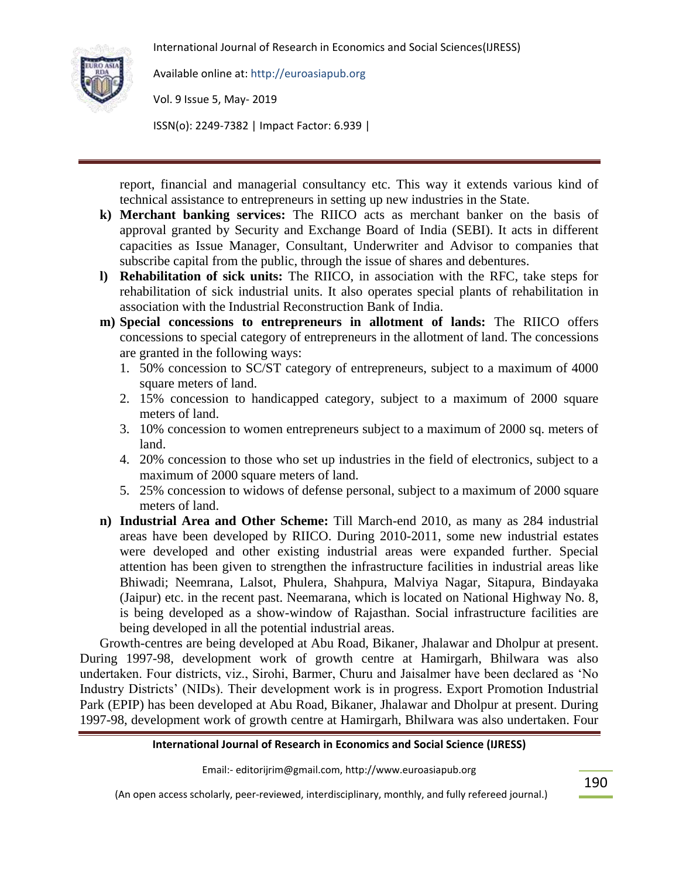

Available online at: http://euroasiapub.org

Vol. 9 Issue 5, May- 2019

ISSN(o): 2249-7382 | Impact Factor: 6.939 |

report, financial and managerial consultancy etc. This way it extends various kind of technical assistance to entrepreneurs in setting up new industries in the State.

- **k) Merchant banking services:** The RIICO acts as merchant banker on the basis of approval granted by Security and Exchange Board of India (SEBI). It acts in different capacities as Issue Manager, Consultant, Underwriter and Advisor to companies that subscribe capital from the public, through the issue of shares and debentures.
- **l) Rehabilitation of sick units:** The RIICO, in association with the RFC, take steps for rehabilitation of sick industrial units. It also operates special plants of rehabilitation in association with the Industrial Reconstruction Bank of India.
- **m) Special concessions to entrepreneurs in allotment of lands:** The RIICO offers concessions to special category of entrepreneurs in the allotment of land. The concessions are granted in the following ways:
	- 1. 50% concession to SC/ST category of entrepreneurs, subject to a maximum of 4000 square meters of land.
	- 2. 15% concession to handicapped category, subject to a maximum of 2000 square meters of land.
	- 3. 10% concession to women entrepreneurs subject to a maximum of 2000 sq. meters of land.
	- 4. 20% concession to those who set up industries in the field of electronics, subject to a maximum of 2000 square meters of land.
	- 5. 25% concession to widows of defense personal, subject to a maximum of 2000 square meters of land.
- **n) Industrial Area and Other Scheme:** Till March-end 2010, as many as 284 industrial areas have been developed by RIICO. During 2010-2011, some new industrial estates were developed and other existing industrial areas were expanded further. Special attention has been given to strengthen the infrastructure facilities in industrial areas like Bhiwadi; Neemrana, Lalsot, Phulera, Shahpura, Malviya Nagar, Sitapura, Bindayaka (Jaipur) etc. in the recent past. Neemarana, which is located on National Highway No. 8, is being developed as a show-window of Rajasthan. Social infrastructure facilities are being developed in all the potential industrial areas.

Growth-centres are being developed at Abu Road, Bikaner, Jhalawar and Dholpur at present. During 1997-98, development work of growth centre at Hamirgarh, Bhilwara was also undertaken. Four districts, viz., Sirohi, Barmer, Churu and Jaisalmer have been declared as "No Industry Districts" (NIDs). Their development work is in progress. Export Promotion Industrial Park (EPIP) has been developed at Abu Road, Bikaner, Jhalawar and Dholpur at present. During 1997-98, development work of growth centre at Hamirgarh, Bhilwara was also undertaken. Four

## **International Journal of Research in Economics and Social Science (IJRESS)**

Email:- editorijrim@gmail.com, http://www.euroasiapub.org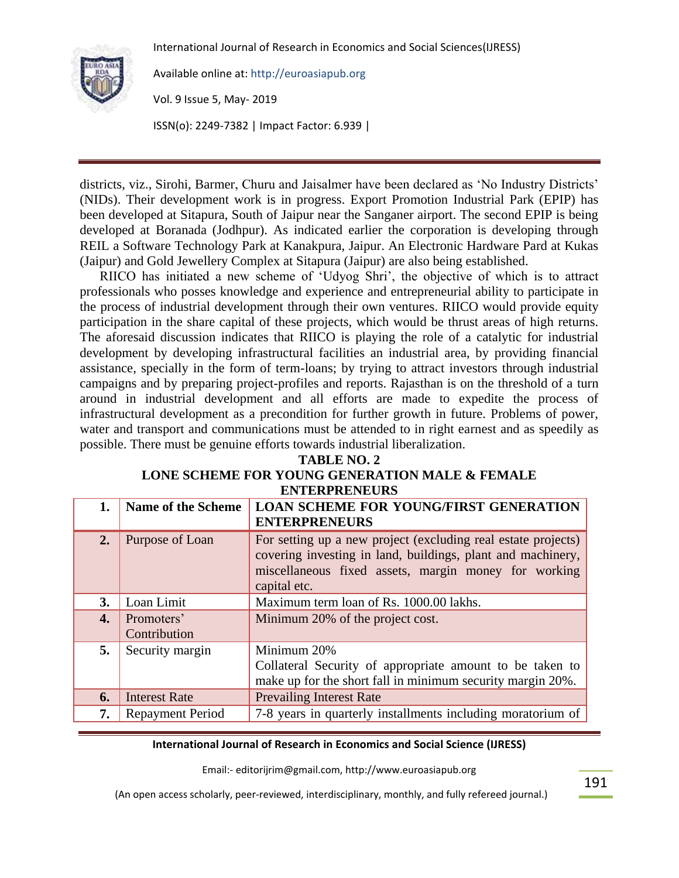

Available online at: http://euroasiapub.org

Vol. 9 Issue 5, May- 2019

ISSN(o): 2249-7382 | Impact Factor: 6.939 |

districts, viz., Sirohi, Barmer, Churu and Jaisalmer have been declared as "No Industry Districts" (NIDs). Their development work is in progress. Export Promotion Industrial Park (EPIP) has been developed at Sitapura, South of Jaipur near the Sanganer airport. The second EPIP is being developed at Boranada (Jodhpur). As indicated earlier the corporation is developing through REIL a Software Technology Park at Kanakpura, Jaipur. An Electronic Hardware Pard at Kukas (Jaipur) and Gold Jewellery Complex at Sitapura (Jaipur) are also being established.

RIICO has initiated a new scheme of "Udyog Shri", the objective of which is to attract professionals who posses knowledge and experience and entrepreneurial ability to participate in the process of industrial development through their own ventures. RIICO would provide equity participation in the share capital of these projects, which would be thrust areas of high returns. The aforesaid discussion indicates that RIICO is playing the role of a catalytic for industrial development by developing infrastructural facilities an industrial area, by providing financial assistance, specially in the form of term-loans; by trying to attract investors through industrial campaigns and by preparing project-profiles and reports. Rajasthan is on the threshold of a turn around in industrial development and all efforts are made to expedite the process of infrastructural development as a precondition for further growth in future. Problems of power, water and transport and communications must be attended to in right earnest and as speedily as possible. There must be genuine efforts towards industrial liberalization.

### **TABLE NO. 2**

#### **LONE SCHEME FOR YOUNG GENERATION MALE & FEMALE ENTERPRENEURS**

| 1.        | <b>Name of the Scheme</b>  | <b>LOAN SCHEME FOR YOUNG/FIRST GENERATION</b><br><b>ENTERPRENEURS</b>                                                                                                                                |
|-----------|----------------------------|------------------------------------------------------------------------------------------------------------------------------------------------------------------------------------------------------|
| 2.        | Purpose of Loan            | For setting up a new project (excluding real estate projects)<br>covering investing in land, buildings, plant and machinery,<br>miscellaneous fixed assets, margin money for working<br>capital etc. |
| <b>3.</b> | Loan Limit                 | Maximum term loan of Rs. 1000.00 lakhs.                                                                                                                                                              |
| 4.        | Promoters'<br>Contribution | Minimum 20% of the project cost.                                                                                                                                                                     |
| 5.        | Security margin            | Minimum 20%<br>Collateral Security of appropriate amount to be taken to<br>make up for the short fall in minimum security margin 20%.                                                                |
| 6.        | <b>Interest Rate</b>       | <b>Prevailing Interest Rate</b>                                                                                                                                                                      |
| 7.        | <b>Repayment Period</b>    | 7-8 years in quarterly installments including moratorium of                                                                                                                                          |

#### **International Journal of Research in Economics and Social Science (IJRESS)**

Email:- editorijrim@gmail.com, http://www.euroasiapub.org

(An open access scholarly, peer-reviewed, interdisciplinary, monthly, and fully refereed journal.)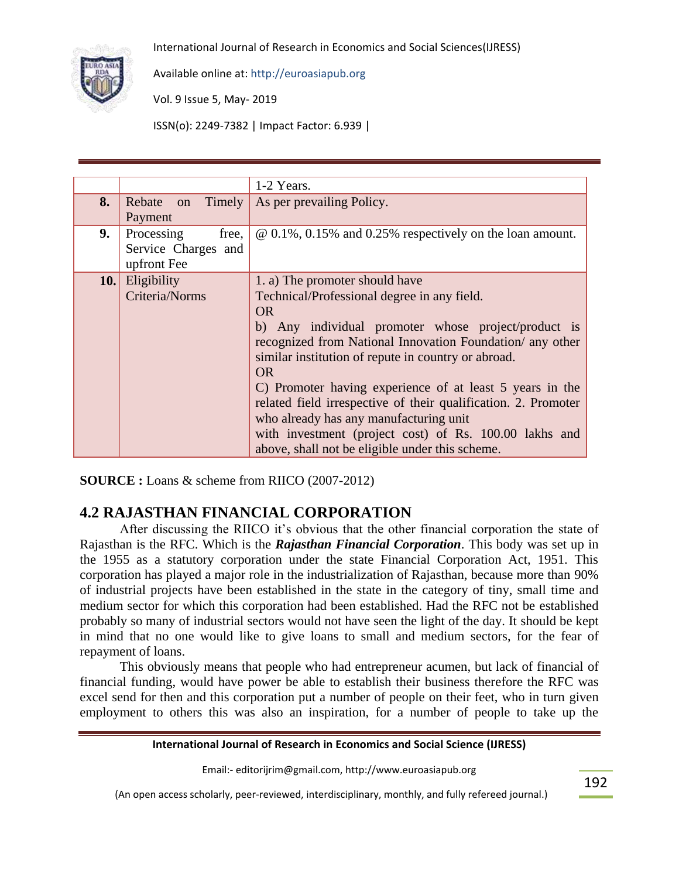

Available online at: http://euroasiapub.org

Vol. 9 Issue 5, May- 2019

ISSN(o): 2249-7382 | Impact Factor: 6.939 |

|    |                        | 1-2 Years.                                                      |
|----|------------------------|-----------------------------------------------------------------|
| 8. | Timely<br>Rebate on    | As per prevailing Policy.                                       |
|    | Payment                |                                                                 |
| 9. | Processing<br>free.    | $\omega$ 0.1%, 0.15% and 0.25% respectively on the loan amount. |
|    | Service Charges and    |                                                                 |
|    | upfront Fee            |                                                                 |
|    | <b>10.</b> Eligibility | 1. a) The promoter should have                                  |
|    | Criteria/Norms         | Technical/Professional degree in any field.                     |
|    |                        | OR.                                                             |
|    |                        | b) Any individual promoter whose project/product is             |
|    |                        | recognized from National Innovation Foundation/ any other       |
|    |                        | similar institution of repute in country or abroad.             |
|    |                        | <b>OR</b>                                                       |
|    |                        | C) Promoter having experience of at least 5 years in the        |
|    |                        | related field irrespective of their qualification. 2. Promoter  |
|    |                        | who already has any manufacturing unit                          |
|    |                        | with investment (project cost) of Rs. 100.00 lakhs and          |
|    |                        | above, shall not be eligible under this scheme.                 |

**SOURCE :** Loans & scheme from RIICO (2007-2012)

# **4.2 RAJASTHAN FINANCIAL CORPORATION**

After discussing the RIICO it's obvious that the other financial corporation the state of Rajasthan is the RFC. Which is the *Rajasthan Financial Corporation*. This body was set up in the 1955 as a statutory corporation under the state Financial Corporation Act, 1951. This corporation has played a major role in the industrialization of Rajasthan, because more than 90% of industrial projects have been established in the state in the category of tiny, small time and medium sector for which this corporation had been established. Had the RFC not be established probably so many of industrial sectors would not have seen the light of the day. It should be kept in mind that no one would like to give loans to small and medium sectors, for the fear of repayment of loans.

This obviously means that people who had entrepreneur acumen, but lack of financial of financial funding, would have power be able to establish their business therefore the RFC was excel send for then and this corporation put a number of people on their feet, who in turn given employment to others this was also an inspiration, for a number of people to take up the

#### **International Journal of Research in Economics and Social Science (IJRESS)**

Email:- editorijrim@gmail.com, http://www.euroasiapub.org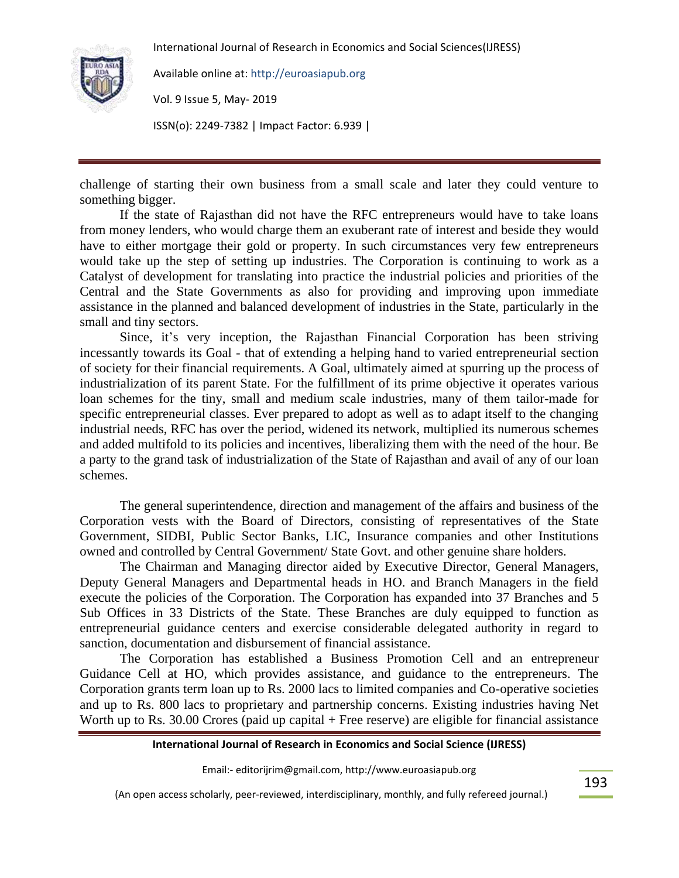

Available online at: http://euroasiapub.org

Vol. 9 Issue 5, May- 2019

ISSN(o): 2249-7382 | Impact Factor: 6.939 |

challenge of starting their own business from a small scale and later they could venture to something bigger.

If the state of Rajasthan did not have the RFC entrepreneurs would have to take loans from money lenders, who would charge them an exuberant rate of interest and beside they would have to either mortgage their gold or property. In such circumstances very few entrepreneurs would take up the step of setting up industries. The Corporation is continuing to work as a Catalyst of development for translating into practice the industrial policies and priorities of the Central and the State Governments as also for providing and improving upon immediate assistance in the planned and balanced development of industries in the State, particularly in the small and tiny sectors.

Since, it's very inception, the Rajasthan Financial Corporation has been striving incessantly towards its Goal - that of extending a helping hand to varied entrepreneurial section of society for their financial requirements. A Goal, ultimately aimed at spurring up the process of industrialization of its parent State. For the fulfillment of its prime objective it operates various loan schemes for the tiny, small and medium scale industries, many of them tailor-made for specific entrepreneurial classes. Ever prepared to adopt as well as to adapt itself to the changing industrial needs, RFC has over the period, widened its network, multiplied its numerous schemes and added multifold to its policies and incentives, liberalizing them with the need of the hour. Be a party to the grand task of industrialization of the State of Rajasthan and avail of any of our loan schemes.

The general superintendence, direction and management of the affairs and business of the Corporation vests with the Board of Directors, consisting of representatives of the State Government, SIDBI, Public Sector Banks, LIC, Insurance companies and other Institutions owned and controlled by Central Government/ State Govt. and other genuine share holders.

The Chairman and Managing director aided by Executive Director, General Managers, Deputy General Managers and Departmental heads in HO. and Branch Managers in the field execute the policies of the Corporation. The Corporation has expanded into 37 Branches and 5 Sub Offices in 33 Districts of the State. These Branches are duly equipped to function as entrepreneurial guidance centers and exercise considerable delegated authority in regard to sanction, documentation and disbursement of financial assistance.

The Corporation has established a Business Promotion Cell and an entrepreneur Guidance Cell at HO, which provides assistance, and guidance to the entrepreneurs. The Corporation grants term loan up to Rs. 2000 lacs to limited companies and Co-operative societies and up to Rs. 800 lacs to proprietary and partnership concerns. Existing industries having Net Worth up to Rs. 30.00 Crores (paid up capital + Free reserve) are eligible for financial assistance

### **International Journal of Research in Economics and Social Science (IJRESS)**

Email:- editorijrim@gmail.com, http://www.euroasiapub.org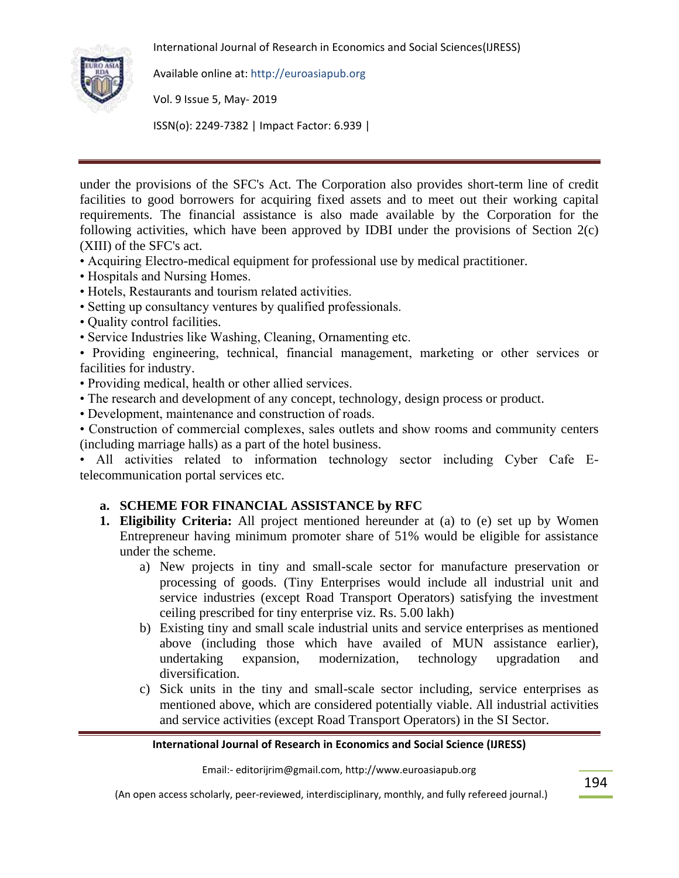

Available online at: http://euroasiapub.org

Vol. 9 Issue 5, May- 2019

ISSN(o): 2249-7382 | Impact Factor: 6.939 |

under the provisions of the SFC's Act. The Corporation also provides short-term line of credit facilities to good borrowers for acquiring fixed assets and to meet out their working capital requirements. The financial assistance is also made available by the Corporation for the following activities, which have been approved by IDBI under the provisions of Section 2(c) (XIII) of the SFC's act.

- Acquiring Electro-medical equipment for professional use by medical practitioner.
- Hospitals and Nursing Homes.
- Hotels, Restaurants and tourism related activities.
- Setting up consultancy ventures by qualified professionals.
- Quality control facilities.
- Service Industries like Washing, Cleaning, Ornamenting etc.

• Providing engineering, technical, financial management, marketing or other services or facilities for industry.

- Providing medical, health or other allied services.
- The research and development of any concept, technology, design process or product.
- Development, maintenance and construction of roads.

• Construction of commercial complexes, sales outlets and show rooms and community centers (including marriage halls) as a part of the hotel business.

• All activities related to information technology sector including Cyber Cafe Etelecommunication portal services etc.

## **a. SCHEME FOR FINANCIAL ASSISTANCE by RFC**

- **1. Eligibility Criteria:** All project mentioned hereunder at (a) to (e) set up by Women Entrepreneur having minimum promoter share of 51% would be eligible for assistance under the scheme.
	- a) New projects in tiny and small-scale sector for manufacture preservation or processing of goods. (Tiny Enterprises would include all industrial unit and service industries (except Road Transport Operators) satisfying the investment ceiling prescribed for tiny enterprise viz. Rs. 5.00 lakh)
	- b) Existing tiny and small scale industrial units and service enterprises as mentioned above (including those which have availed of MUN assistance earlier), undertaking expansion, modernization, technology upgradation and undertaking expansion, modernization, technology upgradation and diversification.
	- c) Sick units in the tiny and small-scale sector including, service enterprises as mentioned above, which are considered potentially viable. All industrial activities and service activities (except Road Transport Operators) in the SI Sector.

#### **International Journal of Research in Economics and Social Science (IJRESS)**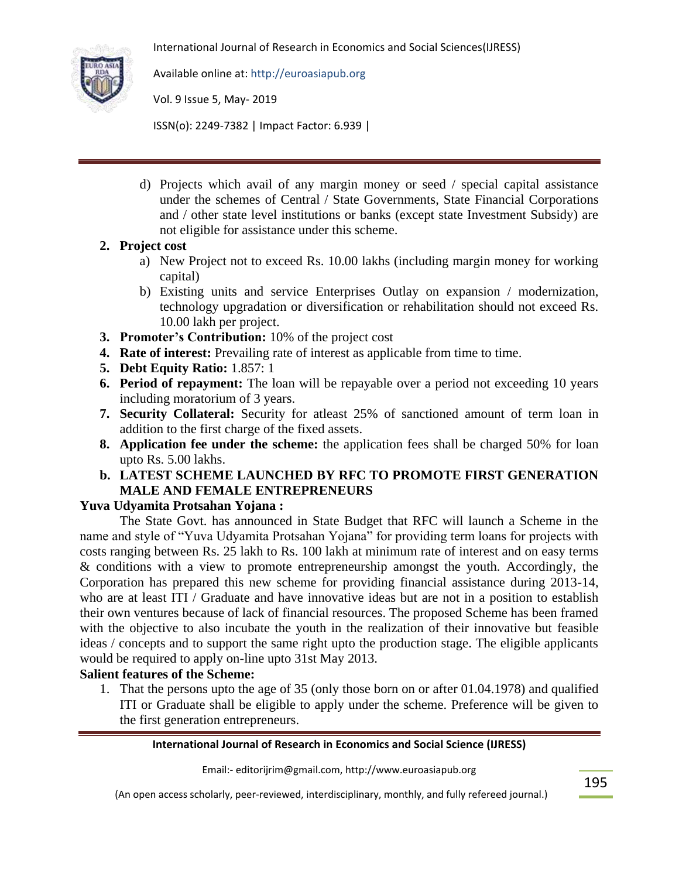

Available online at: http://euroasiapub.org

Vol. 9 Issue 5, May- 2019

ISSN(o): 2249-7382 | Impact Factor: 6.939 |

d) Projects which avail of any margin money or seed / special capital assistance under the schemes of Central / State Governments, State Financial Corporations and / other state level institutions or banks (except state Investment Subsidy) are not eligible for assistance under this scheme.

## **2. Project cost**

- a) New Project not to exceed Rs. 10.00 lakhs (including margin money for working capital)
- b) Existing units and service Enterprises Outlay on expansion / modernization, technology upgradation or diversification or rehabilitation should not exceed Rs. 10.00 lakh per project.
- **3. Promoter's Contribution:** 10% of the project cost
- **4. Rate of interest:** Prevailing rate of interest as applicable from time to time.
- **5. Debt Equity Ratio:** 1.857: 1
- **6. Period of repayment:** The loan will be repayable over a period not exceeding 10 years including moratorium of 3 years.
- **7. Security Collateral:** Security for atleast 25% of sanctioned amount of term loan in addition to the first charge of the fixed assets.
- **8. Application fee under the scheme:** the application fees shall be charged 50% for loan upto Rs. 5.00 lakhs.
- **b. LATEST SCHEME LAUNCHED BY RFC TO PROMOTE FIRST GENERATION MALE AND FEMALE ENTREPRENEURS**

### **Yuva Udyamita Protsahan Yojana :**

The State Govt. has announced in State Budget that RFC will launch a Scheme in the name and style of "Yuva Udyamita Protsahan Yojana" for providing term loans for projects with costs ranging between Rs. 25 lakh to Rs. 100 lakh at minimum rate of interest and on easy terms & conditions with a view to promote entrepreneurship amongst the youth. Accordingly, the Corporation has prepared this new scheme for providing financial assistance during 2013-14, who are at least ITI / Graduate and have innovative ideas but are not in a position to establish their own ventures because of lack of financial resources. The proposed Scheme has been framed with the objective to also incubate the youth in the realization of their innovative but feasible ideas / concepts and to support the same right upto the production stage. The eligible applicants would be required to apply on-line upto 31st May 2013.

## **Salient features of the Scheme:**

1. That the persons upto the age of 35 (only those born on or after 01.04.1978) and qualified ITI or Graduate shall be eligible to apply under the scheme. Preference will be given to the first generation entrepreneurs.

### **International Journal of Research in Economics and Social Science (IJRESS)**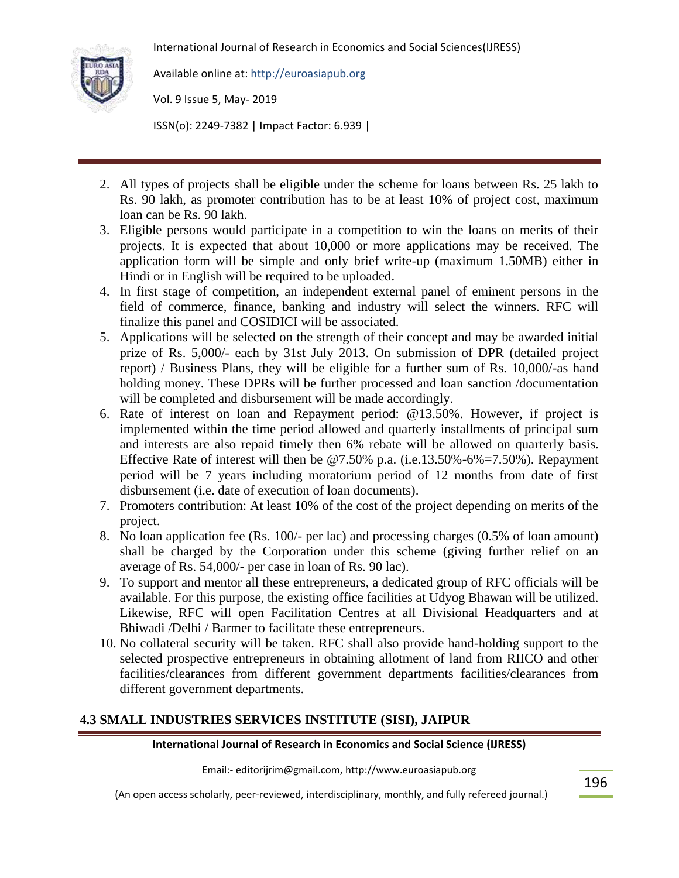

Available online at: http://euroasiapub.org

Vol. 9 Issue 5, May- 2019

ISSN(o): 2249-7382 | Impact Factor: 6.939 |

- 2. All types of projects shall be eligible under the scheme for loans between Rs. 25 lakh to Rs. 90 lakh, as promoter contribution has to be at least 10% of project cost, maximum loan can be Rs. 90 lakh.
- 3. Eligible persons would participate in a competition to win the loans on merits of their projects. It is expected that about 10,000 or more applications may be received. The application form will be simple and only brief write-up (maximum 1.50MB) either in Hindi or in English will be required to be uploaded.
- 4. In first stage of competition, an independent external panel of eminent persons in the field of commerce, finance, banking and industry will select the winners. RFC will finalize this panel and COSIDICI will be associated.
- 5. Applications will be selected on the strength of their concept and may be awarded initial prize of Rs. 5,000/- each by 31st July 2013. On submission of DPR (detailed project report) / Business Plans, they will be eligible for a further sum of Rs. 10,000/-as hand holding money. These DPRs will be further processed and loan sanction /documentation will be completed and disbursement will be made accordingly.
- 6. Rate of interest on loan and Repayment period: @13.50%. However, if project is implemented within the time period allowed and quarterly installments of principal sum and interests are also repaid timely then 6% rebate will be allowed on quarterly basis. Effective Rate of interest will then be  $@7.50\%$  p.a. (i.e.13.50%-6%=7.50%). Repayment period will be 7 years including moratorium period of 12 months from date of first disbursement (i.e. date of execution of loan documents).
- 7. Promoters contribution: At least 10% of the cost of the project depending on merits of the project.
- 8. No loan application fee (Rs. 100/- per lac) and processing charges (0.5% of loan amount) shall be charged by the Corporation under this scheme (giving further relief on an average of Rs. 54,000/- per case in loan of Rs. 90 lac).
- 9. To support and mentor all these entrepreneurs, a dedicated group of RFC officials will be available. For this purpose, the existing office facilities at Udyog Bhawan will be utilized. Likewise, RFC will open Facilitation Centres at all Divisional Headquarters and at Bhiwadi /Delhi / Barmer to facilitate these entrepreneurs.
- 10. No collateral security will be taken. RFC shall also provide hand-holding support to the selected prospective entrepreneurs in obtaining allotment of land from RIICO and other facilities/clearances from different government departments facilities/clearances from different government departments.

## **4.3 SMALL INDUSTRIES SERVICES INSTITUTE (SISI), JAIPUR**

## **International Journal of Research in Economics and Social Science (IJRESS)**

Email:- editorijrim@gmail.com, http://www.euroasiapub.org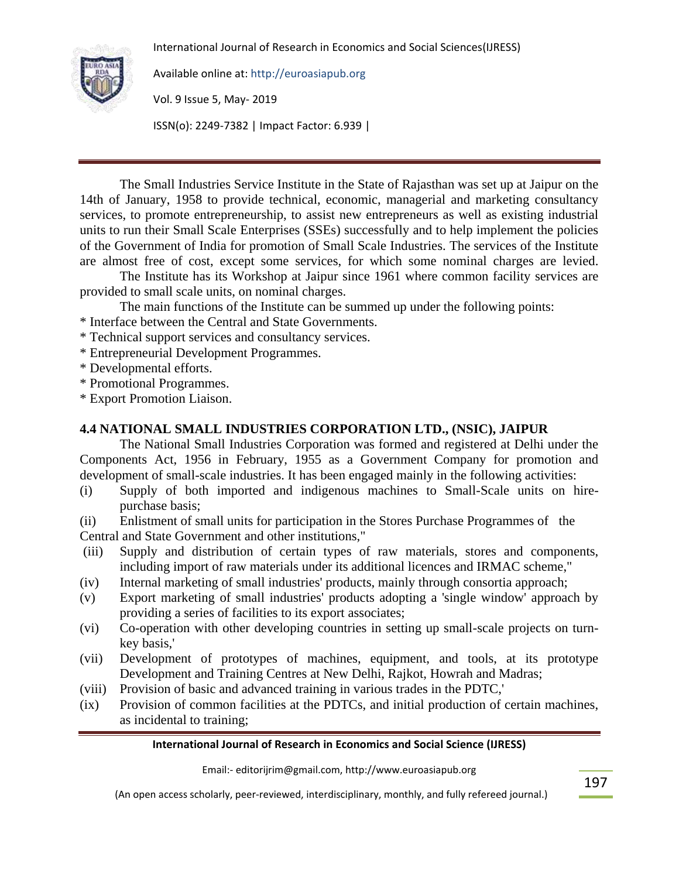

Available online at: http://euroasiapub.org

Vol. 9 Issue 5, May- 2019

ISSN(o): 2249-7382 | Impact Factor: 6.939 |

The Small Industries Service Institute in the State of Rajasthan was set up at Jaipur on the 14th of January, 1958 to provide technical, economic, managerial and marketing consultancy services, to promote entrepreneurship, to assist new entrepreneurs as well as existing industrial units to run their Small Scale Enterprises (SSEs) successfully and to help implement the policies of the Government of India for promotion of Small Scale Industries. The services of the Institute are almost free of cost, except some services, for which some nominal charges are levied.

The Institute has its Workshop at Jaipur since 1961 where common facility services are provided to small scale units, on nominal charges.

The main functions of the Institute can be summed up under the following points:

- \* Interface between the Central and State Governments.
- \* Technical support services and consultancy services.
- \* Entrepreneurial Development Programmes.
- \* Developmental efforts.
- \* Promotional Programmes.
- \* Export Promotion Liaison.

## **4.4 NATIONAL SMALL INDUSTRIES CORPORATION LTD., (NSIC), JAIPUR**

The National Small Industries Corporation was formed and registered at Delhi under the Components Act, 1956 in February, 1955 as a Government Company for promotion and development of small-scale industries. It has been engaged mainly in the following activities:

- (i) Supply of both imported and indigenous machines to Small-Scale units on hirepurchase basis;
- (ii) Enlistment of small units for participation in the Stores Purchase Programmes of the Central and State Government and other institutions,"
- (iii) Supply and distribution of certain types of raw materials, stores and components, including import of raw materials under its additional licences and IRMAC scheme,"
- (iv) Internal marketing of small industries' products, mainly through consortia approach;
- (v) Export marketing of small industries' products adopting a 'single window' approach by providing a series of facilities to its export associates;
- (vi) Co-operation with other developing countries in setting up small-scale projects on turnkey basis,'
- (vii) Development of prototypes of machines, equipment, and tools, at its prototype Development and Training Centres at New Delhi, Rajkot, Howrah and Madras;
- (viii) Provision of basic and advanced training in various trades in the PDTC,'
- (ix) Provision of common facilities at the PDTCs, and initial production of certain machines, as incidental to training;

#### **International Journal of Research in Economics and Social Science (IJRESS)**

Email:- editorijrim@gmail.com, http://www.euroasiapub.org

(An open access scholarly, peer-reviewed, interdisciplinary, monthly, and fully refereed journal.)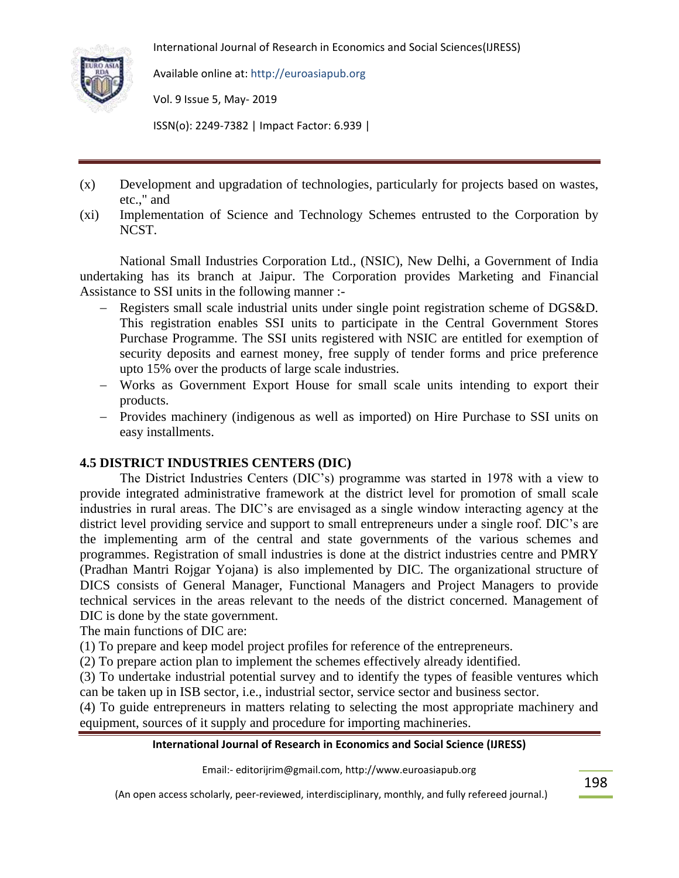

Available online at: http://euroasiapub.org

Vol. 9 Issue 5, May- 2019

ISSN(o): 2249-7382 | Impact Factor: 6.939 |

- (x) Development and upgradation of technologies, particularly for projects based on wastes, etc.," and
- (xi) Implementation of Science and Technology Schemes entrusted to the Corporation by NCST.

National Small Industries Corporation Ltd., (NSIC), New Delhi, a Government of India undertaking has its branch at Jaipur. The Corporation provides Marketing and Financial Assistance to SSI units in the following manner :-

- Registers small scale industrial units under single point registration scheme of DGS&D. This registration enables SSI units to participate in the Central Government Stores Purchase Programme. The SSI units registered with NSIC are entitled for exemption of security deposits and earnest money, free supply of tender forms and price preference upto 15% over the products of large scale industries.
- Works as Government Export House for small scale units intending to export their products.
- Provides machinery (indigenous as well as imported) on Hire Purchase to SSI units on easy installments.

## **4.5 DISTRICT INDUSTRIES CENTERS (DIC)**

The District Industries Centers (DIC"s) programme was started in 1978 with a view to provide integrated administrative framework at the district level for promotion of small scale industries in rural areas. The DIC"s are envisaged as a single window interacting agency at the district level providing service and support to small entrepreneurs under a single roof. DIC"s are the implementing arm of the central and state governments of the various schemes and programmes. Registration of small industries is done at the district industries centre and PMRY (Pradhan Mantri Rojgar Yojana) is also implemented by DIC. The organizational structure of DICS consists of General Manager, Functional Managers and Project Managers to provide technical services in the areas relevant to the needs of the district concerned. Management of DIC is done by the state government.

The main functions of DIC are:

(1) To prepare and keep model project profiles for reference of the entrepreneurs.

(2) To prepare action plan to implement the schemes effectively already identified.

(3) To undertake industrial potential survey and to identify the types of feasible ventures which can be taken up in ISB sector, i.e., industrial sector, service sector and business sector.

(4) To guide entrepreneurs in matters relating to selecting the most appropriate machinery and equipment, sources of it supply and procedure for importing machineries.

#### **International Journal of Research in Economics and Social Science (IJRESS)**

Email:- editorijrim@gmail.com, http://www.euroasiapub.org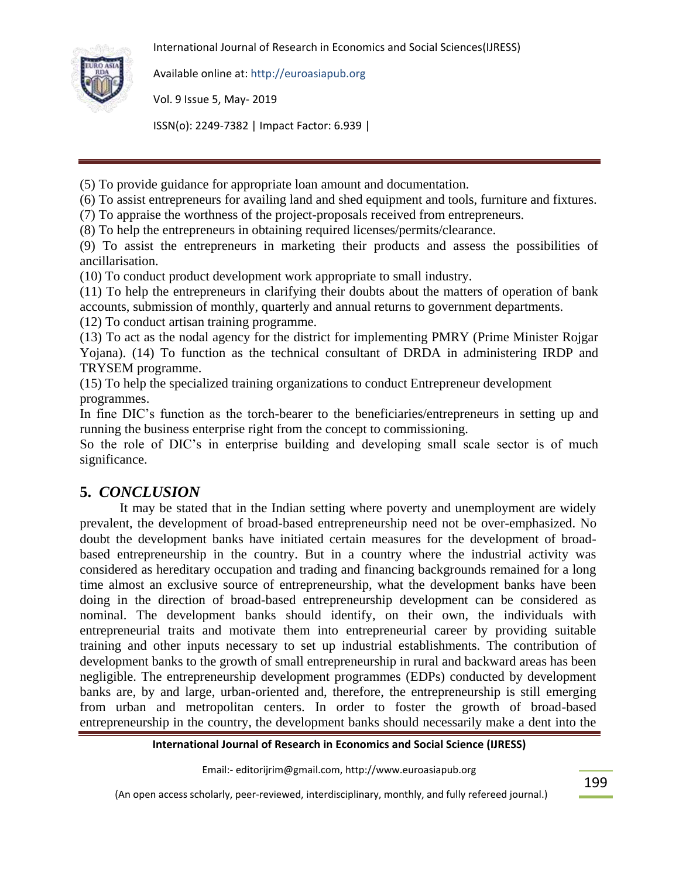

Available online at: http://euroasiapub.org

Vol. 9 Issue 5, May- 2019

ISSN(o): 2249-7382 | Impact Factor: 6.939 |

(5) To provide guidance for appropriate loan amount and documentation.

(6) To assist entrepreneurs for availing land and shed equipment and tools, furniture and fixtures.

(7) To appraise the worthness of the project-proposals received from entrepreneurs.

(8) To help the entrepreneurs in obtaining required licenses/permits/clearance.

(9) To assist the entrepreneurs in marketing their products and assess the possibilities of ancillarisation.

(10) To conduct product development work appropriate to small industry.

(11) To help the entrepreneurs in clarifying their doubts about the matters of operation of bank accounts, submission of monthly, quarterly and annual returns to government departments.

(12) To conduct artisan training programme.

(13) To act as the nodal agency for the district for implementing PMRY (Prime Minister Rojgar Yojana). (14) To function as the technical consultant of DRDA in administering IRDP and TRYSEM programme.

(15) To help the specialized training organizations to conduct Entrepreneur development programmes.

In fine DIC's function as the torch-bearer to the beneficiaries/entrepreneurs in setting up and running the business enterprise right from the concept to commissioning.

So the role of DIC's in enterprise building and developing small scale sector is of much significance.

# **5.** *CONCLUSION*

It may be stated that in the Indian setting where poverty and unemployment are widely prevalent, the development of broad-based entrepreneurship need not be over-emphasized. No doubt the development banks have initiated certain measures for the development of broadbased entrepreneurship in the country. But in a country where the industrial activity was considered as hereditary occupation and trading and financing backgrounds remained for a long time almost an exclusive source of entrepreneurship, what the development banks have been doing in the direction of broad-based entrepreneurship development can be considered as nominal. The development banks should identify, on their own, the individuals with entrepreneurial traits and motivate them into entrepreneurial career by providing suitable training and other inputs necessary to set up industrial establishments. The contribution of development banks to the growth of small entrepreneurship in rural and backward areas has been negligible. The entrepreneurship development programmes (EDPs) conducted by development banks are, by and large, urban-oriented and, therefore, the entrepreneurship is still emerging from urban and metropolitan centers. In order to foster the growth of broad-based entrepreneurship in the country, the development banks should necessarily make a dent into the

## **International Journal of Research in Economics and Social Science (IJRESS)**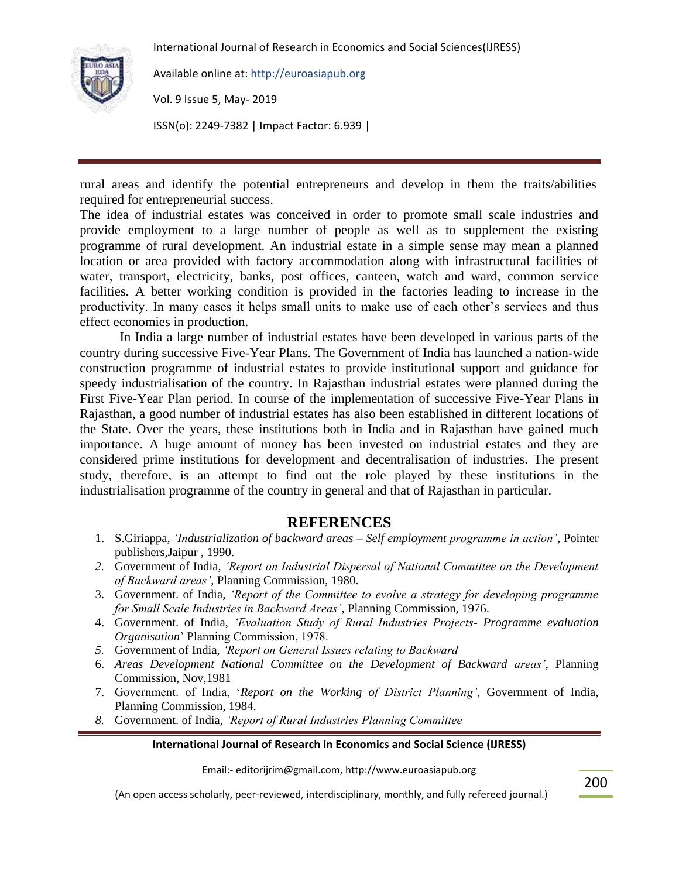

Available online at: http://euroasiapub.org

Vol. 9 Issue 5, May- 2019

ISSN(o): 2249-7382 | Impact Factor: 6.939 |

rural areas and identify the potential entrepreneurs and develop in them the traits/abilities required for entrepreneurial success.

The idea of industrial estates was conceived in order to promote small scale industries and provide employment to a large number of people as well as to supplement the existing programme of rural development. An industrial estate in a simple sense may mean a planned location or area provided with factory accommodation along with infrastructural facilities of water, transport, electricity, banks, post offices, canteen, watch and ward, common service facilities. A better working condition is provided in the factories leading to increase in the productivity. In many cases it helps small units to make use of each other's services and thus effect economies in production.

In India a large number of industrial estates have been developed in various parts of the country during successive Five-Year Plans. The Government of India has launched a nation-wide construction programme of industrial estates to provide institutional support and guidance for speedy industrialisation of the country. In Rajasthan industrial estates were planned during the First Five-Year Plan period. In course of the implementation of successive Five-Year Plans in Rajasthan, a good number of industrial estates has also been established in different locations of the State. Over the years, these institutions both in India and in Rajasthan have gained much importance. A huge amount of money has been invested on industrial estates and they are considered prime institutions for development and decentralisation of industries. The present study, therefore, is an attempt to find out the role played by these institutions in the industrialisation programme of the country in general and that of Rajasthan in particular.

## **REFERENCES**

- 1. S.Giriappa, *'Industrialization of backward areas – Self employment programme in action'*, Pointer publishers,Jaipur , 1990.
- *2.* Government of India, *'Report on Industrial Dispersal of National Committee on the Development of Backward areas'*, Planning Commission, 1980.
- 3. Government. of India, *'Report of the Committee to evolve a strategy for developing programme for Small Scale Industries in Backward Areas'*, Planning Commission, 1976.
- 4. Government. of India, *'Evaluation Study of Rural Industries Projects- Programme evaluation Organisation*" Planning Commission, 1978.
- *5.* Government of India, *'Report on General Issues relating to Backward*
- 6. *Areas Development National Committee on the Development of Backward areas'*, Planning Commission, Nov,1981
- 7. Government. of India, "*Report on the Working of District Planning'*, Government of India, Planning Commission, 1984.
- *8.* Government. of India, *'Report of Rural Industries Planning Committee*

#### **International Journal of Research in Economics and Social Science (IJRESS)**

Email:- editorijrim@gmail.com, http://www.euroasiapub.org